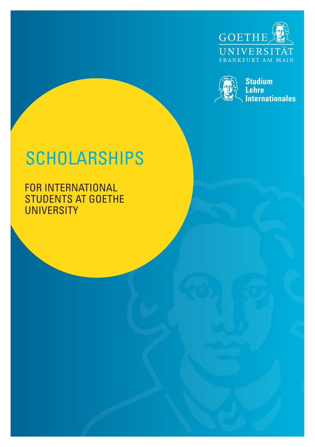



# **SCHOLARSHIPS**

FOR INTERNATIONAL STUDENTS AT GOETHE **UNIVERSITY**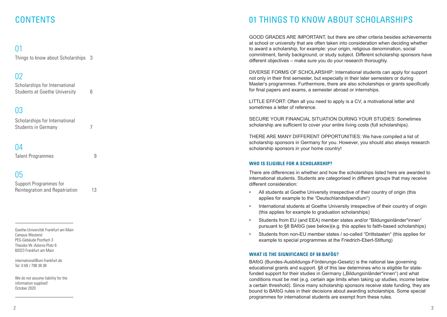# **CONTENTS**

# $\bigcap$

Things to know about Scholarships 3

# 02

Scholarships for International Students at Goethe University 6

# 03

| Scholarships for International |  |
|--------------------------------|--|
| Students in Germany            |  |

# 04

Talent Programmes 9

# 05

| Support Programmes for         |    |
|--------------------------------|----|
| Reintegration and Repatriation | 13 |

Goethe-Universität Frankfurt am Main Campus Westend PEG-Gebäude Postfach 3 Theodor-W.-Adorno-Platz 6 60323 Frankfurt am Main

international@uni-frankfurt.de Tel. 0 69 / 798 38 38

We do not assume liability for the information supplied! October 2020

# 01 THINGS TO KNOW ABOUT SCHOLARSHIPS

GOOD GRADES ARE IMPORTANT, but there are other criteria besides achievements at school or university that are often taken into consideration when deciding whether to award a scholarship, for example: your origin, religious denomination, social commitment, family background, or study subject. Different scholarship sponsors have different objectives – make sure you do your research thoroughly.

DIVERSE FORMS OF SCHOLARSHIP: International students can apply for support not only in their first semester, but especially in their later semesters or during Master's programmes. Furthermore, there are also scholarships or grants specifically for final papers and exams, a semester abroad or internships.

LITTLE EFFORT: Often all you need to apply is a CV, a motivational letter and sometimes a letter of reference.

SECURE YOUR FINANCIAL SITUATION DURING YOUR STUDIES: Sometimes scholarship are sufficient to cover your entire living costs (full scholarships).

THERE ARE MANY DIFFERENT OPPORTUNITIES: We have compiled a list of scholarship sponsors in Germany for you. However, you should also always research scholarship sponsors in your home country!

### **WHO IS ELIGIBLE FOR A SCHOLARSHIP?**

There are differences in whether and how the scholarships listed here are awarded to international students. Students are categorised in different groups that may receive different consideration:

- All students at Goethe University irrespective of their country of origin (this applies for example to the "Deutschlandstipendium")
- International students at Goethe University irrespective of their country of origin (this applies for example to graduation scholarships)
- Students from EU (and EEA) member states and/or "Bildungsinländer\*innen" pursuant to §8 BAföG (see below)(e.g. this applies to faith-based scholarships)
- Students from non-EU member states / so-called "Drittstaaten" (this applies for example to special programmes at the Friedrich-Ebert-Stiftung)

#### **WHAT IS THE SIGNIFICANCE OF §8 BAFÖG?**

BAföG (Bundes-Ausbildungs-Förderungs-Gesetz) is the national law governing educational grants and support. §8 of this law determines who is eligible for statefunded support for their studies in Germany ("Bildungsinländer\*innen") and what conditions must be met (e.g. certain age limits when taking up studies, income below a certain threshold). Since many scholarship sponsors receive state funding, they are bound to BAföG rules in their decisions about awarding scholarships. Some special programmes for international students are exempt from these rules.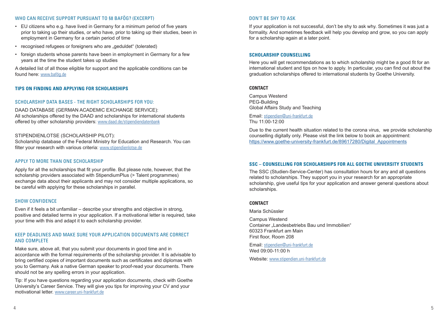### WHO CAN RECEIVE SUPPORT PURSUANT TO §8 BAFÖG? (EXCERPT)

- EU citizens who e.g. have lived in Germany for a minimum period of five years prior to taking up their studies, or who have, prior to taking up their studies, been in employment in Germany for a certain period of time
- recognised refugees or foreigners who are "geduldet" (tolerated)
- foreign students whose parents have been in employment in Germany for a few years at the time the student takes up studies

A detailed list of all those eligible for support and the applicable conditions can be found here: www.bafög.de

#### **TIPS ON FINDING AND APPLYING FOR SCHOLARSHIPS**

#### SCHOLARSHIP DATA BASES - THE RIGHT SCHOLARSHIPS FOR YOU:

DAAD DATABASE (GERMAN ACADEMIC EXCHANGE SERVICE): All scholarships offered by the DAAD and scholarships for international students offered by other scholarship providers: www.daad.de/stipendiendatenbank

#### STIPENDIENLOTSE (SCHOLARSHIP PILOT):

Scholarship database of the Federal Ministry for Education and Research. You can filter your research with various criteria: www.stipendienlotse.de

#### APPLY TO MORE THAN ONE SCHOLARSHIP

Apply for all the scholarships that fit your profile. But please note, however, that the scholarship providers associated with StipendiumPlus (> Talent programmes) exchange data about their applicants and may not consider multiple applications, so be careful with applying for these scholarships in parallel.

#### SHOW CONFIDENCE

Even if it feels a bit unfamiliar – describe your strengths and objective in strong, positive and detailed terms in your application. If a motivational letter is required, take your time with this and adapt it to each scholarship provider.

### KEEP DEADLINES AND MAKE SURE YOUR APPLICATION DOCUMENTS ARE CORRECT AND COMPLETE

Make sure, above all, that you submit your documents in good time and in accordance with the formal requirements of the scholarship provider. It is advisable to bring certified copies of important documents such as certificates and diplomas with you to Germany. Ask a native German speaker to proof-read your documents. There should not be any spelling errors in your application.

Tip: If you have questions regarding your application documents, check with Goethe University's Career Service. They will give you tips for improving your CV and your motivational letter. www.career.uni-frankfurt.de

### DON'T BE SHY TO ASK

If your application is not successful, don't be shy to ask why. Sometimes it was just a formality. And sometimes feedback will help you develop and grow, so you can apply for a scholarship again at a later point.

#### **SCHOLARSHIP COUNSELLING**

Here you will get recommendations as to which scholarship might be a good fit for an international student and tips on how to apply. In particular, you can find out about the graduation scholarships offered to international students by Goethe University.

#### **CONTACT**

Campus Westend PEG-Building Global Affairs Study and Teaching

Email: stipendien@uni-frankfurt.de Thu 11:00-12:00

Due to the current health situation related to the corona virus, we provide scholarship counselling digitally only. Please visit the link below to book an appointment: https://www.goethe-university-frankfurt.de/89617280/Digital\_Appointments

#### **SSC – COUNSELLING FOR SCHOLARSHIPS FOR ALL GOETHE UNIVERSITY STUDENTS**

The SSC (Studien-Service-Center) has consultation hours for any and all questions related to scholarships. They support you in your research for an appropriate scholarship, give useful tips for your application and answer general questions about scholarships.

#### **CONTACT**

Maria Schüssler

Campus Westend Container "Landesbetriebs Bau und Immobilien" 60323 Frankfurt am Main First floor, Room 208

Email: stipendien@uni-frankfurt.de Wed 09:00-11:00 h

Website: www.stipendien.uni-frankfurt.de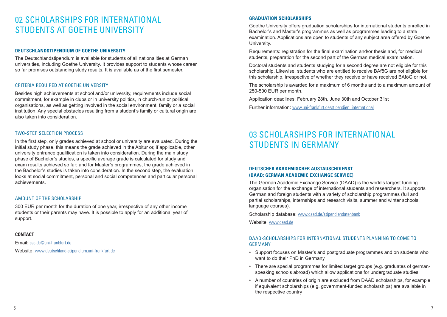# 02 SCHOLARSHIPS FOR INTERNATIONAL STUDENTS AT GOETHE UNIVERSITY

### **DEUTSCHLANDSTIPENDIUM OF GOETHE UNIVERSITY**

The Deutschlandstipendium is available for students of all nationalities at German universities, including Goethe University. It provides support to students whose career so far promises outstanding study results. It is available as of the first semester.

### CRITERIA REQUIRED AT GOETHE UNIVERSITY

Besides high achievements at school and/or university, requirements include social commitment, for example in clubs or in university politics, in church-run or political organisations, as well as getting involved in the social environment, family or a social institution. Any special obstacles resulting from a student's family or cultural origin are also taken into consideration.

#### TWO-STEP SELECTION PROCESS

In the first step, only grades achieved at school or university are evaluated. During the initial study phase, this means the grade achieved in the Abitur or, if applicable, other university entrance qualification is taken into consideration. During the main study phase of Bachelor's studies, a specific average grade is calculated for study and exam results achieved so far; and for Master's programmes, the grade achieved in the Bachelor's studies is taken into consideration. In the second step, the evaluation looks at social commitment, personal and social competences and particular personal achievements.

#### AMOUNT OF THE SCHOLARSHIP

300 EUR per month for the duration of one year, irrespective of any other income students or their parents may have. It is possible to apply for an additional year of support.

#### **CONTACT**

Email: ssc-ds@uni-frankfurt.de Website: www.deutschland-stipendium.uni-frankfurt.de

### **GRADUATION SCHOLARSHIPS**

Goethe University offers graduation scholarships for international students enrolled in Bachelor's and Master's programmes as well as programmes leading to a state examination. Applications are open to students of any subject area offered by Goethe University.

Requirements: registration for the final examination and/or thesis and, for medical students, preparation for the second part of the German medical examination.

Doctoral students and students studying for a second degree are not eligible for this scholarship. Likewise, students who are entitled to receive BAföG are not eligible for this scholarship, irrespective of whether they receive or have received BAföG or not.

The scholarship is awarded for a maximum of 6 months and to a maximum amount of 250-500 EUR per month.

Application deadlines: February 28th, June 30th and October 31st Further information: www.uni-frankfurt.de/stipendien\_international

# 03 SCHOLARSHIPS FOR INTERNATIONAL STUDENTS IN GERMANY

### **DEUTSCHER AKADEMISCHER AUSTAUSCHDIENST (DAAD; GERMAN ACADEMIC EXCHANGE SERVICE)**

The German Academic Exchange Service (DAAD) is the world's largest funding organisation for the exchange of international students and researchers. It supports German and foreign students with a variety of scholarship programmes (full and partial scholarships, internships and research visits, summer and winter schools, language courses).

Scholarship database: www.daad.de/stipendiendatenbank

Website: www.daad.de

### DAAD-SCHOLARSHIPS FOR INTERNATIONAL STUDENTS PLANNING TO COME TO GERMANY

- Support focuses on Master's and postgraduate programmes and on students who want to do their PhD in Germany
- There are special programmes for limited target groups (e.g. graduates of germanspeaking schools abroad) which allow applications for undergraduate studies
- A number of countries of origin are excluded from DAAD scholarships, for example if equivalent scholarships (e.g. government-funded scholarships) are available in the respective country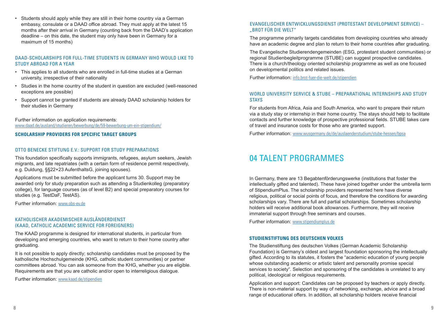• Students should apply while they are still in their home country via a German embassy, consulate or a DAAD office abroad. They must apply at the latest 15 months after their arrival in Germany (counting back from the DAAD's application deadline – on this date, the student may only have been in Germany for a maximum of 15 months)

# DAAD-SCHOLARSHIPS FOR FULL-TIME STUDENTS IN GERMANY WHO WOULD LIKE TO STUDY ABROAD FOR A YEAR

- This applies to all students who are enrolled in full-time studies at a German university, irrespective of their nationality
- Studies in the home country of the student in question are excluded (well-reasoned exceptions are possible)
- Support cannot be granted if students are already DAAD scholarship holders for their studies in Germany

Further information on application requirements: www.daad.de/ausland/studieren/bewerbung/de/59-bewerbung-um-ein-stipendium/

# **SCHOLARSHIP PROVIDERS FOR SPECIFIC TARGET GROUPS**

# OTTO BENECKE STIFTUNG E.V. SUPPORT FOR STUDY PREPARATIONS

This foundation specifically supports immigrants, refugees, asylum seekers, Jewish migrants, and late repatriates (with a certain form of residence permit respectively, e.g. Duldung, §§22+23 AufenthaltsG, joining spouses).

Applications must be submitted before the applicant turns 30. Support may be awarded only for study preparation such as attending a Studienkolleg (preparatory college), for language courses (as of level B2) and special preparatory courses for studies (e.g. TestDaF, TestAS).

Further information: www.obs-ev.de

# KATHOLISCHER AKADEMISCHER AUSLÄNDERDIENST (KAAD, CATHOLIC ACADEMIC SERVICE FOR FOREIGNERS)

The KAAD programme is designed for international students, in particular from developing and emerging countries, who want to return to their home country after graduating.

It is not possible to apply directly; scholarship candidates must be proposed by the katholische Hochschulgemeinde (KHG, catholic student communities) or partner committees abroad. You can ask someone from the KHG, whether you are eligible. Requirements are that you are catholic and/or open to interreligious dialogue.

Further information: www.kaad.de/stipendien

# EVANGELISCHER ENTWICKLUNGSDIENST (PROTESTANT DEVELOPMENT SERVICE) – "BROT FÜR DIE WELT"

The programme primarily targets candidates from developing countries who already have an academic degree and plan to return to their home countries after graduating.

The Evangelische Studierendengemeinden (ESG, protestant student communities) or regional Studienbegleitprogramme (STUBE) can suggest prospective candidates. There is a church/theology oriented scholarship programme as well as one focused on developmental politics and related issues.

Further information: info.brot-fuer-die-welt.de/stipendien

# WORLD UNIVERSITY SERVICE & STUBE – PREPARATIONAL INTERNSHIPS AND STUDY **STAYS**

For students from Africa, Asia and South America, who want to prepare their return via a study stay or internship in their home country. The stays should help to facilitate contacts and further knowledge of prospective professional fields. STUBE takes care of travel and insurance costs for those who are granted support.

Further information: www.wusgermany.de/de/auslaenderstudium/stube-hessen/bpsa

# 04 TALENT PROGRAMMES

In Germany, there are 13 Begabtenförderungswerke (institutions that foster the intellectually gifted and talented). These have joined together under the umbrella term of StipendiumPlus. The scholarship providers represented here have diverse religious, political or social points of focus, and therefore the conditions for awarding scholarships vary. There are full and partial scholarships. Sometimes scholarship holders will receive additional book allowances. Furthermore, they will receive immaterial support through free seminars and courses.

Further information: www.stipendiumplus.de

# **STUDIENSTIFTUNG DES DEUTSCHEN VOLKES**

The Studienstiftung des deutschen Volkes (German Academic Scholarship Foundation) is Germany's oldest and largest foundation sponsoring the intellectually gifted. According to its statutes, it fosters the "academic education of young people whose outstanding academic or artistic talent and personality promise special services to society". Selection and sponsoring of the candidates is unrelated to any political, ideological or religious requirements.

Application and support: Candidates can be proposed by teachers or apply directly. There is non-material support by way of networking, exchange, advice and a broad range of educational offers. In addition, all scholarship holders receive financial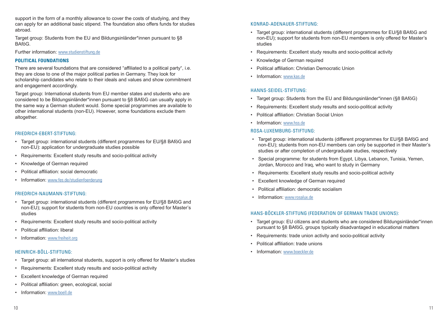support in the form of a monthly allowance to cover the costs of studying, and they can apply for an additional basic stipend. The foundation also offers funds for studies abroad.

Target group: Students from the EU and Bildungsinländer\*innen pursuant to §8 BAföG.

Further information: www.studienstiftung.de

# **POLITICAL FOUNDATIONS**

There are several foundations that are considered "affiliated to a political party", i.e. they are close to one of the major political parties in Germany. They look for scholarship candidates who relate to their ideals and values and show commitment and engagement accordingly.

Target group: International students from EU member states and students who are considered to be Bildungsinländer\*innen pursuant to §8 BAföG can usually apply in the same way a German student would. Some special programmes are available to other international students (non-EU). However, some foundations exclude them altogether.

# FRIEDRICH-EBERT-STIFTUNG:

- Target group: international students (different programmes for EU/§8 BAföG and non-EU): application for undergraduate studies possible
- Requirements: Excellent study results and socio-political activity
- Knowledge of German required
- Political affiliation: social democratic
- Information: www.fes.de/studienfoerderung

# FRIEDRICH-NAUMANN-STIFTUNG:

- Target group: international students (different programmes for EU/§8 BAföG and non-EU); support for students from non-EU countries is only offered for Master's studies
- Requirements: Excellent study results and socio-political activity
- Political affiliation: liberal
- Information: www.freiheit.org

# HEINRICH-BÖLL-STIFTUNG:

- Target group: all international students, support is only offered for Master's studies
- Requirements: Excellent study results and socio-political activity
- Excellent knowledge of German required
- Political affiliation: green, ecological, social
- Information: www.boell.de

# KONRAD-ADENAUER-STIFTUNG:

- Target group: international students (different programmes for EU/§8 BAföG and non-EU); support for students from non-EU members is only offered for Master's studies
- Requirements: Excellent study results and socio-political activity
- Knowledge of German required
- Political affiliation: Christian Democratic Union
- Information: www.kas.de

# HANNS-SEIDEL-STIFTUNG:

- Target group: Students from the EU and Bildungsinländer\*innen (§8 BAföG)
- Requirements: Excellent study results and socio-political activity
- Political affiliation: Christian Social Union
- Information: www.hss.de

# ROSA-LUXEMBURG-STIFTUNG:

- Target group: international students (different programmes for EU/§8 BAföG and non-EU); students from non-EU members can only be supported in their Master's studies or after completion of undergraduate studies, respectively
- Special programme: for students from Egypt, Libya, Lebanon, Tunisia, Yemen, Jordan, Morocco and Iraq, who want to study in Germany
- Requirements: Excellent study results and socio-political activity
- Excellent knowledge of German required
- Political affiliation: democratic socialism
- Information: www.rosalux.de

# HANS-BÖCKLER-STIFTUNG (FEDERATION OF GERMAN TRADE UNIONS):

- Target group: EU citizens and students who are considered Bildungsinländer\*innen pursuant to §8 BAföG, groups typically disadvantaged in educational matters
- Requirements: trade union activity and socio-political activity
- Political affiliation: trade unions
- Information: www.boeckler.de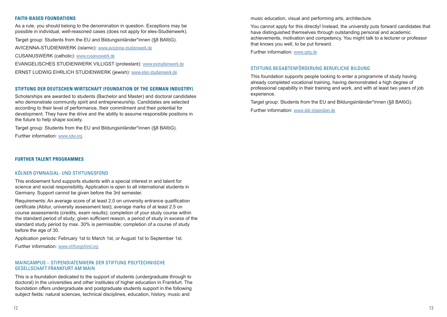### **FAITH-BASED FOUNDATIONS**

As a rule, you should belong to the denomination in question. Exceptions may be possible in individual, well-reasoned cases (does not apply for eles-Studienwerk).

Target group: Students from the EU and Bildungsinländer\*innen (§8 BAföG).

AVICENNA-STUDIENWERK (islamic): www.avicenna-studienwerk.de

CUSANUSWERK (catholic): www.cusanuswerk.de

EVANGELISCHES STUDIENWERK VILLIGST (protestant): www.evstudienwerk.de ERNST LUDWIG EHRLICH STUDIENWERK (jewish): www.eles-studienwerk.de

# **STIFTUNG DER DEUTSCHEN WIRTSCHAFT (FOUNDATION OF THE GERMAN INDUSTRY)**

Scholarships are awarded to students (Bachelor and Master) and doctoral candidates who demonstrate community spirit and entrepreneurship. Candidates are selected according to their level of performance, their commitment and their potential for development. They have the drive and the ability to assume responsible positions in the future to help shape society.

Target group: Students from the EU and Bildungsinländer\*innen (§8 BAföG).

Further information: www.sdw.org

### **FURTHER TALENT PROGRAMMES**

### KÖLNER GYMNASIAL- UND STIFTUNGSFOND

This endowment fund supports students with a special interest in and talent for science and social responsibility. Application is open to all international students in Germany. Support cannot be given before the 3rd semester.

Requirements: An average score of at least 2.0 on university entrance qualification certificate (Abitur, university assessment test); average marks of at least 2.5 on course assessments (credits, exam results); completion of your study course within the standard period of study; given sufficient reason, a period of study in excess of the standard study period by max. 30% is permissible; completion of a course of study before the age of 30.

Application periods: February 1st to March 1st, or August 1st to September 1st.

Further information: www.stiftungsfond.org

#### MAINCAMPUS – STIPENDIATENWERK DER STIFTUNG POLYTECHNISCHE GESELLSCHAFT FRANKFURT AM MAIN

This is a foundation dedicated to the support of students (undergraduate through to doctoral) in the universities and other institutes of higher education in Frankfurt. The foundation offers undergraduate and postgraduate students support in the following subject fields: natural sciences, technical disciplines, education, history, music and

music education, visual and performing arts, architecture.

You cannot apply for this directly! Instead, the university puts forward candidates that have distinguished themselves through outstanding personal and academic achievements, motivation and competency. You might talk to a lecturer or professor that knows you well, to be put forward.

Further information: www.sptg.de

### STIFTUNG BEGABTENFÖRDERUNG BERUFLICHE BILDUNG

This foundation supports people looking to enter a programme of study having already completed vocational training, having demonstrated a high degree of professional capability in their training and work, and with at least two years of job experience.

Target group: Students from the EU and Bildungsinländer\*innen (§8 BAföG).

Further information: www.sbb-stipendien.de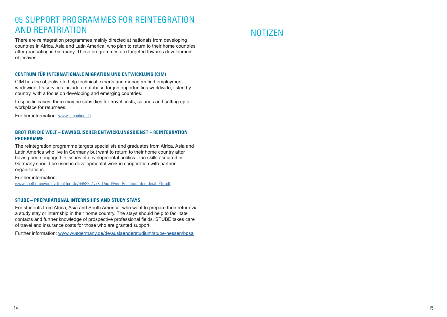# 05 SUPPORT PROGRAMMES FOR REINTEGRATION AND REPATRIATION

There are reintegration programmes mainly directed at nationals from developing countries in Africa, Asia and Latin America, who plan to return to their home countries after graduating in Germany. These programmes are targeted towards development objectives.

### **CENTRUM FÜR INTERNATIONALE MIGRATION UND ENTWICKLUNG (CIM)**

CIM has the objective to help technical experts and managers find employment worldwide. Its services include a database for job opportunities worldwide, listed by country, with a focus on developing and emerging countries.

In specific cases, there may be subsidies for travel costs, salaries and setting up a workplace for returnees.

Further information: www.cimonline.de

### **BROT FÜR DIE WELT – EVANGELISCHER ENTWICKLUNGSDIENST – REINTEGRATION PROGRAMME**

The reintegration programme targets specialists and graduates from Africa, Asia and Latin America who live in Germany but want to return to their home country after having been engaged in issues of developmental politics. The skills acquired in Germany should be used in developmental work in cooperation with partner organizations.

#### Further information: www.goethe-university-frankfurt.de/66882547/X\_Doc\_Flyer\_Reintegranten\_final\_EN.pdf

### **STUBE – PREPARATIONAL INTERNSHIPS AND STUDY STAYS**

For students from Africa, Asia and South America, who want to prepare their return via a study stay or internship in their home country. The stays should help to facilitate contacts and further knowledge of prospective professional fields. STUBE takes care of travel and insurance costs for those who are granted support.

Further information: www.wusgermany.de/de/auslaenderstudium/stube-hessen/bpsa

# NOTIZEN